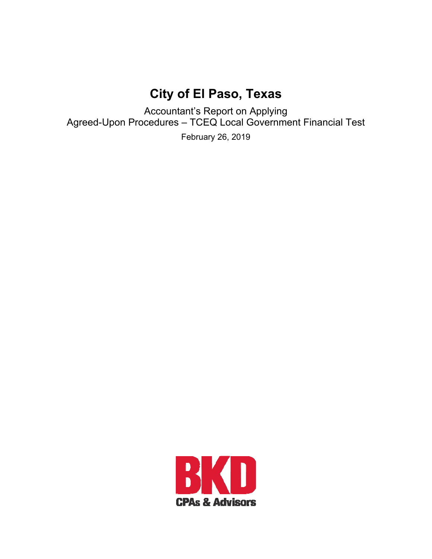# **City of El Paso, Texas**

Accountant's Report on Applying Agreed-Upon Procedures – TCEQ Local Government Financial Test

February 26, 2019

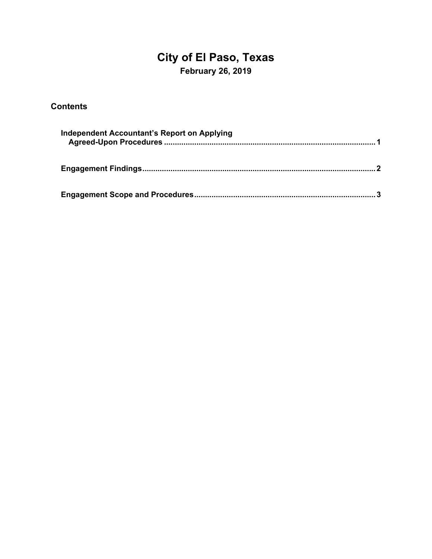## **City of El Paso, Texas February 26, 2019**

#### **Contents**

| <b>Independent Accountant's Report on Applying</b> |  |
|----------------------------------------------------|--|
|                                                    |  |
|                                                    |  |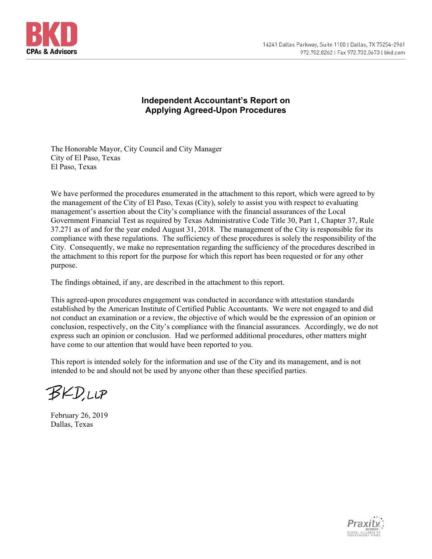



#### **Independent Accountant's Report on Applying Agreed-Upon Procedures**

The Honorable Mayor, City Council and City Manager City of El Paso, Texas El Paso, Texas

We have performed the procedures enumerated in the attachment to this report, which were agreed to by the management of the City of El Paso, Texas (City), solely to assist you with respect to evaluating management's assertion about the City's compliance with the financial assurances of the Local Government Financial Test as required by Texas Administrative Code Title 30, Part 1, Chapter 37, Rule 37.271 as of and for the year ended August 31, 2018. The management of the City is responsible for its compliance with these regulations. The sufficiency of these procedures is solely the responsibility of the City. Consequently, we make no representation regarding the sufficiency of the procedures described in the attachment to this report for the purpose for which this report has been requested or for any other purpose.

The findings obtained, if any, are described in the attachment to this report.

This agreed-upon procedures engagement was conducted in accordance with attestation standards established by the American Institute of Certified Public Accountants. We were not engaged to and did not conduct an examination or a review, the objective of which would be the expression of an opinion or conclusion, respectively, on the City's compliance with the financial assurances. Accordingly, we do not express such an opinion or conclusion. Had we performed additional procedures, other matters might have come to our attention that would have been reported to you.

This report is intended solely for the information and use of the City and its management, and is not intended to be and should not be used by anyone other than these specified parties.

**BKD,LLP** 

February 26, 2019 Dallas, Texas

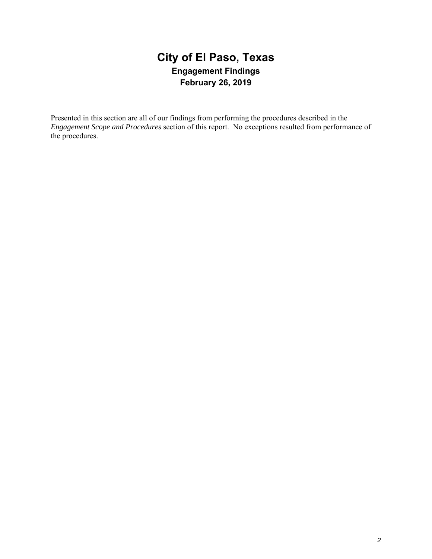### **City of El Paso, Texas Engagement Findings February 26, 2019**

Presented in this section are all of our findings from performing the procedures described in the *Engagement Scope and Procedures* section of this report. No exceptions resulted from performance of the procedures.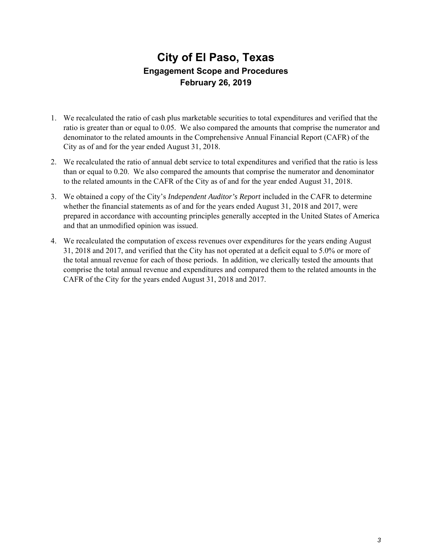### **City of El Paso, Texas Engagement Scope and Procedures February 26, 2019**

- 1. We recalculated the ratio of cash plus marketable securities to total expenditures and verified that the ratio is greater than or equal to 0.05. We also compared the amounts that comprise the numerator and denominator to the related amounts in the Comprehensive Annual Financial Report (CAFR) of the City as of and for the year ended August 31, 2018.
- 2. We recalculated the ratio of annual debt service to total expenditures and verified that the ratio is less than or equal to 0.20. We also compared the amounts that comprise the numerator and denominator to the related amounts in the CAFR of the City as of and for the year ended August 31, 2018.
- 3. We obtained a copy of the City's *Independent Auditor's Report* included in the CAFR to determine whether the financial statements as of and for the years ended August 31, 2018 and 2017, were prepared in accordance with accounting principles generally accepted in the United States of America and that an unmodified opinion was issued.
- 4. We recalculated the computation of excess revenues over expenditures for the years ending August 31, 2018 and 2017, and verified that the City has not operated at a deficit equal to 5.0% or more of the total annual revenue for each of those periods. In addition, we clerically tested the amounts that comprise the total annual revenue and expenditures and compared them to the related amounts in the CAFR of the City for the years ended August 31, 2018 and 2017.